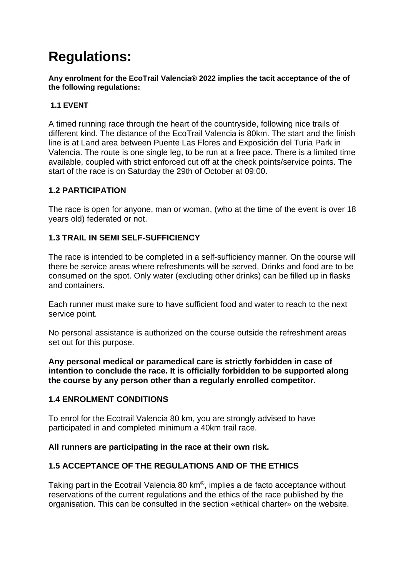# **Regulations:**

**Any enrolment for the EcoTrail Valencia® 2022 implies the tacit acceptance of the of the following regulations:**

#### **1.1 EVENT**

A timed running race through the heart of the countryside, following nice trails of different kind. The distance of the EcoTrail Valencia is 80km. The start and the finish line is at Land area between Puente Las Flores and Exposición del Turia Park in Valencia. The route is one single leg, to be run at a free pace. There is a limited time available, coupled with strict enforced cut off at the check points/service points. The start of the race is on Saturday the 29th of October at 09:00.

#### **1.2 PARTICIPATION**

The race is open for anyone, man or woman, (who at the time of the event is over 18 years old) federated or not.

# **1.3 TRAIL IN SEMI SELF-SUFFICIENCY**

The race is intended to be completed in a self-sufficiency manner. On the course will there be service areas where refreshments will be served. Drinks and food are to be consumed on the spot. Only water (excluding other drinks) can be filled up in flasks and containers.

Each runner must make sure to have sufficient food and water to reach to the next service point.

No personal assistance is authorized on the course outside the refreshment areas set out for this purpose.

**Any personal medical or paramedical care is strictly forbidden in case of intention to conclude the race. It is officially forbidden to be supported along the course by any person other than a regularly enrolled competitor.**

# **1.4 ENROLMENT CONDITIONS**

To enrol for the Ecotrail Valencia 80 km, you are strongly advised to have participated in and completed minimum a 40km trail race.

#### **All runners are participating in the race at their own risk.**

# **1.5 ACCEPTANCE OF THE REGULATIONS AND OF THE ETHICS**

Taking part in the Ecotrail Valencia 80 km®, implies a de facto acceptance without reservations of the current regulations and the ethics of the race published by the organisation. This can be consulted in the section «ethical charter» on the website.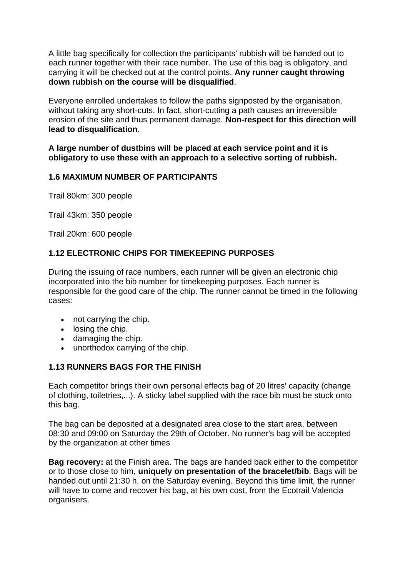A little bag specifically for collection the participants' rubbish will be handed out to each runner together with their race number. The use of this bag is obligatory, and carrying it will be checked out at the control points. **Any runner caught throwing down rubbish on the course will be disqualified**.

Everyone enrolled undertakes to follow the paths signposted by the organisation, without taking any short-cuts. In fact, short-cutting a path causes an irreversible erosion of the site and thus permanent damage. **Non-respect for this direction will lead to disqualification**.

**A large number of dustbins will be placed at each service point and it is obligatory to use these with an approach to a selective sorting of rubbish.**

#### **1.6 MAXIMUM NUMBER OF PARTICIPANTS**

Trail 80km: 300 people

Trail 43km: 350 people

Trail 20km: 600 people

# **1.12 ELECTRONIC CHIPS FOR TIMEKEEPING PURPOSES**

During the issuing of race numbers, each runner will be given an electronic chip incorporated into the bib number for timekeeping purposes. Each runner is responsible for the good care of the chip. The runner cannot be timed in the following cases:

- not carrying the chip.
- losing the chip.
- damaging the chip.
- unorthodox carrying of the chip.

# **1.13 RUNNERS BAGS FOR THE FINISH**

Each competitor brings their own personal effects bag of 20 litres' capacity (change of clothing, toiletries,...). A sticky label supplied with the race bib must be stuck onto this bag.

The bag can be deposited at a designated area close to the start area, between 08:30 and 09:00 on Saturday the 29th of October. No runner's bag will be accepted by the organization at other times

**Bag recovery:** at the Finish area. The bags are handed back either to the competitor or to those close to him, **uniquely on presentation of the bracelet/bib**. Bags will be handed out until 21:30 h. on the Saturday evening. Beyond this time limit, the runner will have to come and recover his bag, at his own cost, from the Ecotrail Valencia organisers.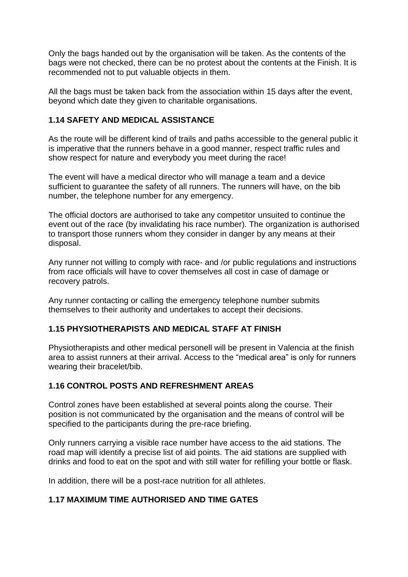Only the bags handed out by the organisation will be taken. As the contents of the bags were not checked, there can be no protest about the contents at the Finish. It is recommended not to put valuable objects in them.

All the bags must be taken back from the association within 15 days after the event, beyond which date they given to charitable organisations.

#### **1.14 SAFETY AND MEDICAL ASSISTANCE**

As the route will be different kind of trails and paths accessible to the general public it is imperative that the runners behave in a good manner, respect traffic rules and show respect for nature and everybody you meet during the race!

The event will have a medical director who will manage a team and a device sufficient to guarantee the safety of all runners. The runners will have, on the bib number, the telephone number for any emergency.

The official doctors are authorised to take any competitor unsuited to continue the event out of the race (by invalidating his race number). The organization is authorised to transport those runners whom they consider in danger by any means at their disposal.

Any runner not willing to comply with race- and /or public regulations and instructions from race officials will have to cover themselves all cost in case of damage or recovery patrols.

Any runner contacting or calling the emergency telephone number submits themselves to their authority and undertakes to accept their decisions.

# **1.15 PHYSIOTHERAPISTS AND MEDICAL STAFF AT FINISH**

Physiotherapists and other medical personell will be present in Valencia at the finish area to assist runners at their arrival. Access to the "medical area" is only for runners wearing their bracelet/bib.

# **1.16 CONTROL POSTS AND REFRESHMENT AREAS**

Control zones have been established at several points along the course. Their position is not communicated by the organisation and the means of control will be specified to the participants during the pre-race briefing.

Only runners carrying a visible race number have access to the aid stations. The road map will identify a precise list of aid points. The aid stations are supplied with drinks and food to eat on the spot and with still water for refilling your bottle or flask.

In addition, there will be a post-race nutrition for all athletes.

# **1.17 MAXIMUM TIME AUTHORISED AND TIME GATES**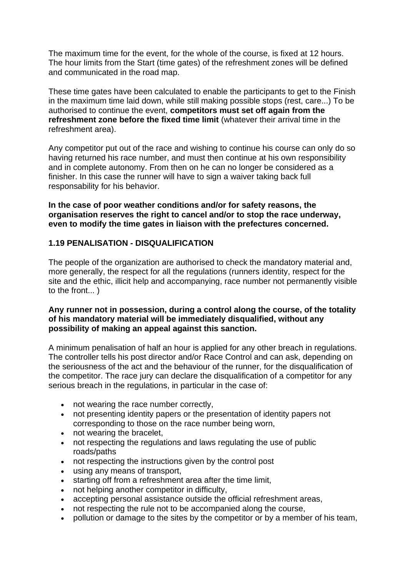The maximum time for the event, for the whole of the course, is fixed at 12 hours. The hour limits from the Start (time gates) of the refreshment zones will be defined and communicated in the road map.

These time gates have been calculated to enable the participants to get to the Finish in the maximum time laid down, while still making possible stops (rest, care...) To be authorised to continue the event, **competitors must set off again from the refreshment zone before the fixed time limit** (whatever their arrival time in the refreshment area).

Any competitor put out of the race and wishing to continue his course can only do so having returned his race number, and must then continue at his own responsibility and in complete autonomy. From then on he can no longer be considered as a finisher. In this case the runner will have to sign a waiver taking back full responsability for his behavior.

**In the case of poor weather conditions and/or for safety reasons, the organisation reserves the right to cancel and/or to stop the race underway, even to modify the time gates in liaison with the prefectures concerned.**

#### **1.19 PENALISATION - DISQUALIFICATION**

The people of the organization are authorised to check the mandatory material and, more generally, the respect for all the regulations (runners identity, respect for the site and the ethic, illicit help and accompanying, race number not permanently visible to the front... )

#### **Any runner not in possession, during a control along the course, of the totality of his mandatory material will be immediately disqualified, without any possibility of making an appeal against this sanction.**

A minimum penalisation of half an hour is applied for any other breach in regulations. The controller tells his post director and/or Race Control and can ask, depending on the seriousness of the act and the behaviour of the runner, for the disqualification of the competitor. The race jury can declare the disqualification of a competitor for any serious breach in the regulations, in particular in the case of:

- not wearing the race number correctly,
- not presenting identity papers or the presentation of identity papers not corresponding to those on the race number being worn,
- not wearing the bracelet,
- not respecting the regulations and laws regulating the use of public roads/paths
- not respecting the instructions given by the control post
- using any means of transport,
- starting off from a refreshment area after the time limit,
- not helping another competitor in difficulty,
- accepting personal assistance outside the official refreshment areas,
- not respecting the rule not to be accompanied along the course,
- pollution or damage to the sites by the competitor or by a member of his team,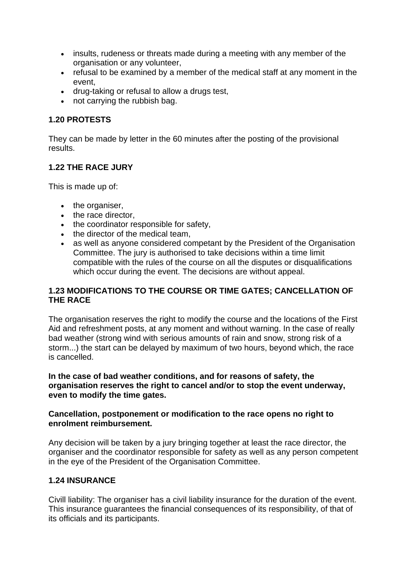- insults, rudeness or threats made during a meeting with any member of the organisation or any volunteer,
- refusal to be examined by a member of the medical staff at any moment in the event,
- drug-taking or refusal to allow a drugs test,
- not carrying the rubbish bag.

#### **1.20 PROTESTS**

They can be made by letter in the 60 minutes after the posting of the provisional results.

#### **1.22 THE RACE JURY**

This is made up of:

- the organiser,
- the race director,
- the coordinator responsible for safety,
- the director of the medical team,
- as well as anyone considered competant by the President of the Organisation Committee. The jury is authorised to take decisions within a time limit compatible with the rules of the course on all the disputes or disqualifications which occur during the event. The decisions are without appeal.

# **1.23 MODIFICATIONS TO THE COURSE OR TIME GATES; CANCELLATION OF THE RACE**

The organisation reserves the right to modify the course and the locations of the First Aid and refreshment posts, at any moment and without warning. In the case of really bad weather (strong wind with serious amounts of rain and snow, strong risk of a storm...) the start can be delayed by maximum of two hours, beyond which, the race is cancelled.

#### **In the case of bad weather conditions, and for reasons of safety, the organisation reserves the right to cancel and/or to stop the event underway, even to modify the time gates.**

#### **Cancellation, postponement or modification to the race opens no right to enrolment reimbursement.**

Any decision will be taken by a jury bringing together at least the race director, the organiser and the coordinator responsible for safety as well as any person competent in the eye of the President of the Organisation Committee.

# **1.24 INSURANCE**

Civill liability: The organiser has a civil liability insurance for the duration of the event. This insurance guarantees the financial consequences of its responsibility, of that of its officials and its participants.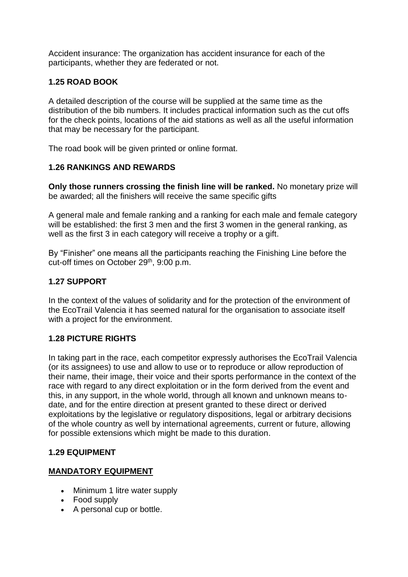Accident insurance: The organization has accident insurance for each of the participants, whether they are federated or not.

# **1.25 ROAD BOOK**

A detailed description of the course will be supplied at the same time as the distribution of the bib numbers. It includes practical information such as the cut offs for the check points, locations of the aid stations as well as all the useful information that may be necessary for the participant.

The road book will be given printed or online format.

# **1.26 RANKINGS AND REWARDS**

**Only those runners crossing the finish line will be ranked.** No monetary prize will be awarded; all the finishers will receive the same specific gifts

A general male and female ranking and a ranking for each male and female category will be established: the first 3 men and the first 3 women in the general ranking, as well as the first 3 in each category will receive a trophy or a gift.

By "Finisher" one means all the participants reaching the Finishing Line before the cut-off times on October 29<sup>th</sup>, 9:00 p.m.

# **1.27 SUPPORT**

In the context of the values of solidarity and for the protection of the environment of the EcoTrail Valencia it has seemed natural for the organisation to associate itself with a project for the environment.

# **1.28 PICTURE RIGHTS**

In taking part in the race, each competitor expressly authorises the EcoTrail Valencia (or its assignees) to use and allow to use or to reproduce or allow reproduction of their name, their image, their voice and their sports performance in the context of the race with regard to any direct exploitation or in the form derived from the event and this, in any support, in the whole world, through all known and unknown means todate, and for the entire direction at present granted to these direct or derived exploitations by the legislative or regulatory dispositions, legal or arbitrary decisions of the whole country as well by international agreements, current or future, allowing for possible extensions which might be made to this duration.

# **1.29 EQUIPMENT**

# **MANDATORY EQUIPMENT**

- Minimum 1 litre water supply
- Food supply
- A personal cup or bottle.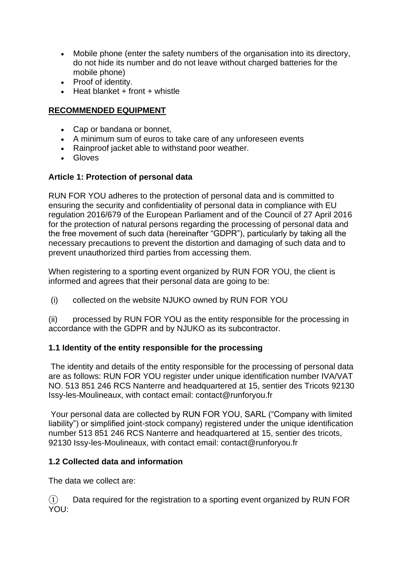- Mobile phone (enter the safety numbers of the organisation into its directory, do not hide its number and do not leave without charged batteries for the mobile phone)
- Proof of identity.
- $\bullet$  Heat blanket + front + whistle

# **RECOMMENDED EQUIPMENT**

- Cap or bandana or bonnet,
- A minimum sum of euros to take care of any unforeseen events
- Rainproof jacket able to withstand poor weather.
- Gloves

# **Article 1: Protection of personal data**

RUN FOR YOU adheres to the protection of personal data and is committed to ensuring the security and confidentiality of personal data in compliance with EU regulation 2016/679 of the European Parliament and of the Council of 27 April 2016 for the protection of natural persons regarding the processing of personal data and the free movement of such data (hereinafter "GDPR"), particularly by taking all the necessary precautions to prevent the distortion and damaging of such data and to prevent unauthorized third parties from accessing them.

When registering to a sporting event organized by RUN FOR YOU, the client is informed and agrees that their personal data are going to be:

(i) collected on the website NJUKO owned by RUN FOR YOU

(ii) processed by RUN FOR YOU as the entity responsible for the processing in accordance with the GDPR and by NJUKO as its subcontractor.

# **1.1 Identity of the entity responsible for the processing**

The identity and details of the entity responsible for the processing of personal data are as follows: RUN FOR YOU register under unique identification number IVA/VAT NO. 513 851 246 RCS Nanterre and headquartered at 15, sentier des Tricots 92130 Issy-les-Moulineaux, with contact email: contact@runforyou.fr

Your personal data are collected by RUN FOR YOU, SARL ("Company with limited liability") or simplified joint-stock company) registered under the unique identification number 513 851 246 RCS Nanterre and headquartered at 15, sentier des tricots, 92130 Issy-les-Moulineaux, with contact email: contact@runforyou.fr

# **1.2 Collected data and information**

The data we collect are:

 $\Omega$  Data required for the registration to a sporting event organized by RUN FOR YOU: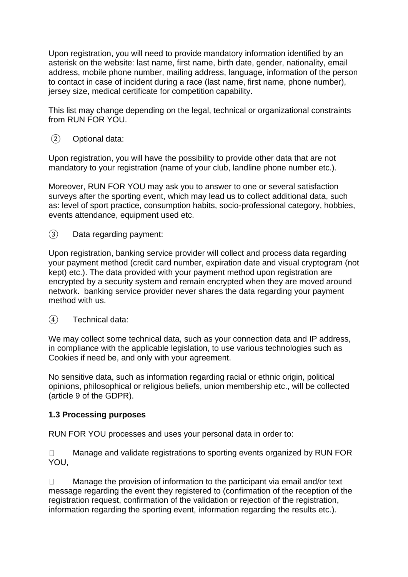Upon registration, you will need to provide mandatory information identified by an asterisk on the website: last name, first name, birth date, gender, nationality, email address, mobile phone number, mailing address, language, information of the person to contact in case of incident during a race (last name, first name, phone number), jersey size, medical certificate for competition capability.

This list may change depending on the legal, technical or organizational constraints from RUN FOR YOU.

② Optional data:

Upon registration, you will have the possibility to provide other data that are not mandatory to your registration (name of your club, landline phone number etc.).

Moreover, RUN FOR YOU may ask you to answer to one or several satisfaction surveys after the sporting event, which may lead us to collect additional data, such as: level of sport practice, consumption habits, socio-professional category, hobbies, events attendance, equipment used etc.

③ Data regarding payment:

Upon registration, banking service provider will collect and process data regarding your payment method (credit card number, expiration date and visual cryptogram (not kept) etc.). The data provided with your payment method upon registration are encrypted by a security system and remain encrypted when they are moved around network. banking service provider never shares the data regarding your payment method with us.

④ Technical data:

We may collect some technical data, such as your connection data and IP address, in compliance with the applicable legislation, to use various technologies such as Cookies if need be, and only with your agreement.

No sensitive data, such as information regarding racial or ethnic origin, political opinions, philosophical or religious beliefs, union membership etc., will be collected (article 9 of the GDPR).

#### **1.3 Processing purposes**

RUN FOR YOU processes and uses your personal data in order to:

Manage and validate registrations to sporting events organized by RUN FOR  $\Box$ YOU,

Manage the provision of information to the participant via email and/or text  $\Box$ message regarding the event they registered to (confirmation of the reception of the registration request, confirmation of the validation or rejection of the registration, information regarding the sporting event, information regarding the results etc.).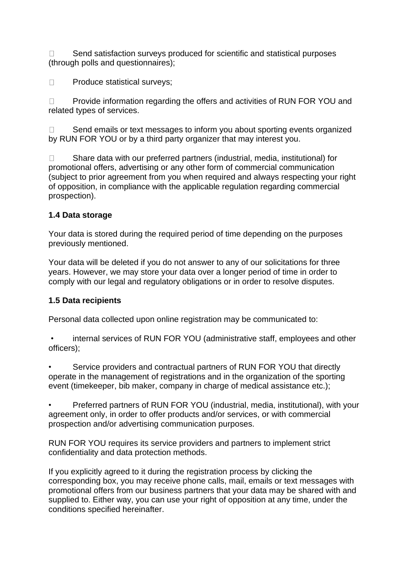Send satisfaction surveys produced for scientific and statistical purposes  $\Box$ (through polls and questionnaires);

 $\Box$ Produce statistical surveys;

Provide information regarding the offers and activities of RUN FOR YOU and  $\Box$ related types of services.

Send emails or text messages to inform you about sporting events organized  $\Box$ by RUN FOR YOU or by a third party organizer that may interest you.

Share data with our preferred partners (industrial, media, institutional) for  $\Box$ promotional offers, advertising or any other form of commercial communication (subject to prior agreement from you when required and always respecting your right of opposition, in compliance with the applicable regulation regarding commercial prospection).

# **1.4 Data storage**

Your data is stored during the required period of time depending on the purposes previously mentioned.

Your data will be deleted if you do not answer to any of our solicitations for three years. However, we may store your data over a longer period of time in order to comply with our legal and regulatory obligations or in order to resolve disputes.

# **1.5 Data recipients**

Personal data collected upon online registration may be communicated to:

• internal services of RUN FOR YOU (administrative staff, employees and other officers);

Service providers and contractual partners of RUN FOR YOU that directly operate in the management of registrations and in the organization of the sporting event (timekeeper, bib maker, company in charge of medical assistance etc.);

• Preferred partners of RUN FOR YOU (industrial, media, institutional), with your agreement only, in order to offer products and/or services, or with commercial prospection and/or advertising communication purposes.

RUN FOR YOU requires its service providers and partners to implement strict confidentiality and data protection methods.

If you explicitly agreed to it during the registration process by clicking the corresponding box, you may receive phone calls, mail, emails or text messages with promotional offers from our business partners that your data may be shared with and supplied to. Either way, you can use your right of opposition at any time, under the conditions specified hereinafter.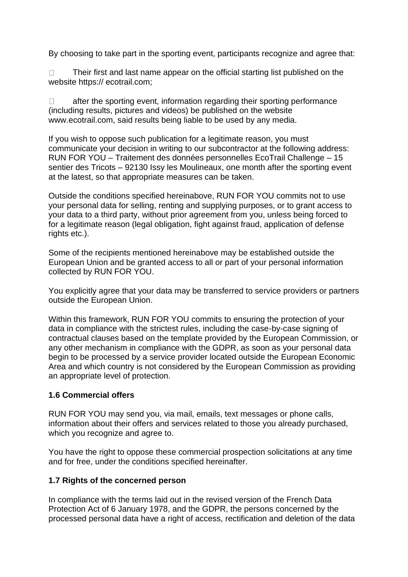By choosing to take part in the sporting event, participants recognize and agree that:

 $\Box$ Their first and last name appear on the official starting list published on the website https:// ecotrail.com;

after the sporting event, information regarding their sporting performance  $\Box$ (including results, pictures and videos) be published on the website www.ecotrail.com, said results being liable to be used by any media.

If you wish to oppose such publication for a legitimate reason, you must communicate your decision in writing to our subcontractor at the following address: RUN FOR YOU – Traitement des données personnelles EcoTrail Challenge – 15 sentier des Tricots – 92130 Issy les Moulineaux, one month after the sporting event at the latest, so that appropriate measures can be taken.

Outside the conditions specified hereinabove, RUN FOR YOU commits not to use your personal data for selling, renting and supplying purposes, or to grant access to your data to a third party, without prior agreement from you, unless being forced to for a legitimate reason (legal obligation, fight against fraud, application of defense rights etc.).

Some of the recipients mentioned hereinabove may be established outside the European Union and be granted access to all or part of your personal information collected by RUN FOR YOU.

You explicitly agree that your data may be transferred to service providers or partners outside the European Union.

Within this framework, RUN FOR YOU commits to ensuring the protection of your data in compliance with the strictest rules, including the case-by-case signing of contractual clauses based on the template provided by the European Commission, or any other mechanism in compliance with the GDPR, as soon as your personal data begin to be processed by a service provider located outside the European Economic Area and which country is not considered by the European Commission as providing an appropriate level of protection.

# **1.6 Commercial offers**

RUN FOR YOU may send you, via mail, emails, text messages or phone calls, information about their offers and services related to those you already purchased, which you recognize and agree to.

You have the right to oppose these commercial prospection solicitations at any time and for free, under the conditions specified hereinafter.

# **1.7 Rights of the concerned person**

In compliance with the terms laid out in the revised version of the French Data Protection Act of 6 January 1978, and the GDPR, the persons concerned by the processed personal data have a right of access, rectification and deletion of the data